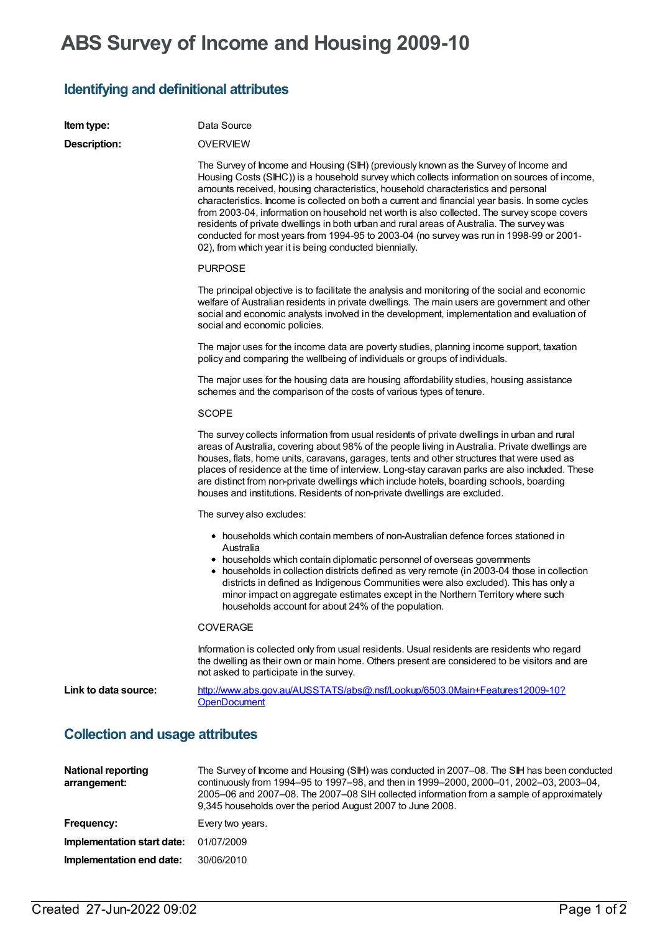## **ABS Survey of Income and Housing 2009-10**

## **Identifying and definitional attributes**

| <b>Item type:</b>                      | Data Source                                                                                                                                                                                                                                                                                                                                                                                                                                                                                                                                                                                                                                                                                                                   |
|----------------------------------------|-------------------------------------------------------------------------------------------------------------------------------------------------------------------------------------------------------------------------------------------------------------------------------------------------------------------------------------------------------------------------------------------------------------------------------------------------------------------------------------------------------------------------------------------------------------------------------------------------------------------------------------------------------------------------------------------------------------------------------|
| Description:                           | <b>OVERVIEW</b>                                                                                                                                                                                                                                                                                                                                                                                                                                                                                                                                                                                                                                                                                                               |
|                                        | The Survey of Income and Housing (SIH) (previously known as the Survey of Income and<br>Housing Costs (SIHC)) is a household survey which collects information on sources of income,<br>amounts received, housing characteristics, household characteristics and personal<br>characteristics. Income is collected on both a current and financial year basis. In some cycles<br>from 2003-04, information on household net worth is also collected. The survey scope covers<br>residents of private dwellings in both urban and rural areas of Australia. The survey was<br>conducted for most years from 1994-95 to 2003-04 (no survey was run in 1998-99 or 2001-<br>02), from which year it is being conducted biennially. |
|                                        | <b>PURPOSE</b>                                                                                                                                                                                                                                                                                                                                                                                                                                                                                                                                                                                                                                                                                                                |
|                                        | The principal objective is to facilitate the analysis and monitoring of the social and economic<br>welfare of Australian residents in private dwellings. The main users are government and other<br>social and economic analysts involved in the development, implementation and evaluation of<br>social and economic policies.                                                                                                                                                                                                                                                                                                                                                                                               |
|                                        | The major uses for the income data are poverty studies, planning income support, taxation<br>policy and comparing the wellbeing of individuals or groups of individuals.                                                                                                                                                                                                                                                                                                                                                                                                                                                                                                                                                      |
|                                        | The major uses for the housing data are housing affordability studies, housing assistance<br>schemes and the comparison of the costs of various types of tenure.                                                                                                                                                                                                                                                                                                                                                                                                                                                                                                                                                              |
|                                        | <b>SCOPE</b>                                                                                                                                                                                                                                                                                                                                                                                                                                                                                                                                                                                                                                                                                                                  |
|                                        | The survey collects information from usual residents of private dwellings in urban and rural<br>areas of Australia, covering about 98% of the people living in Australia. Private dwellings are<br>houses, flats, home units, caravans, garages, tents and other structures that were used as<br>places of residence at the time of interview. Long-stay caravan parks are also included. These<br>are distinct from non-private dwellings which include hotels, boarding schools, boarding<br>houses and institutions. Residents of non-private dwellings are excluded.                                                                                                                                                      |
|                                        | The survey also excludes:                                                                                                                                                                                                                                                                                                                                                                                                                                                                                                                                                                                                                                                                                                     |
|                                        | • households which contain members of non-Australian defence forces stationed in<br>Australia<br>• households which contain diplomatic personnel of overseas governments<br>• households in collection districts defined as very remote (in 2003-04 those in collection<br>districts in defined as Indigenous Communities were also excluded). This has only a<br>minor impact on aggregate estimates except in the Northern Territory where such<br>households account for about 24% of the population.                                                                                                                                                                                                                      |
|                                        | <b>COVERAGE</b>                                                                                                                                                                                                                                                                                                                                                                                                                                                                                                                                                                                                                                                                                                               |
|                                        | Information is collected only from usual residents. Usual residents are residents who regard<br>the dwelling as their own or main home. Others present are considered to be visitors and are<br>not asked to participate in the survey.                                                                                                                                                                                                                                                                                                                                                                                                                                                                                       |
| Link to data source:                   | http://www.abs.gov.au/AUSSTATS/abs@.nsf/Lookup/6503.0Main+Features12009-10?<br><b>OpenDocument</b>                                                                                                                                                                                                                                                                                                                                                                                                                                                                                                                                                                                                                            |
| <b>Collection and usage attributes</b> |                                                                                                                                                                                                                                                                                                                                                                                                                                                                                                                                                                                                                                                                                                                               |
| <b>National reporting</b>              | The Survey of Income and Housing (SIH) was conducted in 2007-08. The SIH has been conduct                                                                                                                                                                                                                                                                                                                                                                                                                                                                                                                                                                                                                                     |

| <b>National reporting</b><br>arrangement: | The Survey of Income and Housing (SIH) was conducted in 2007–08. The SIH has been conducted<br>continuously from 1994–95 to 1997–98, and then in 1999–2000, 2000–01, 2002–03, 2003–04,<br>2005–06 and 2007–08. The 2007–08 SIH collected information from a sample of approximately<br>9,345 households over the period August 2007 to June 2008. |
|-------------------------------------------|---------------------------------------------------------------------------------------------------------------------------------------------------------------------------------------------------------------------------------------------------------------------------------------------------------------------------------------------------|
| Frequency:                                | Every two years.                                                                                                                                                                                                                                                                                                                                  |
| Implementation start date:                | 01/07/2009                                                                                                                                                                                                                                                                                                                                        |
| Implementation end date:                  | 30/06/2010                                                                                                                                                                                                                                                                                                                                        |